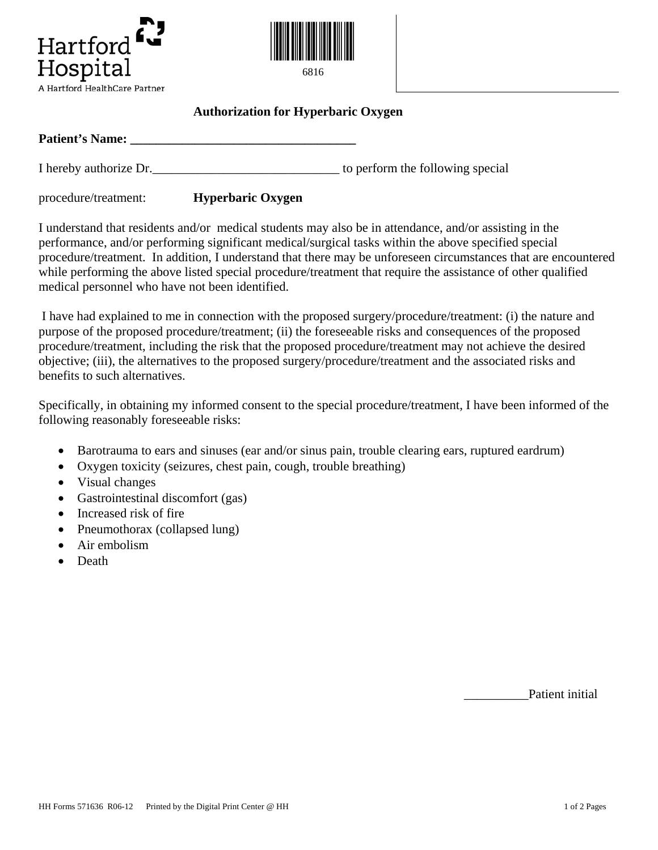



## **Authorization for Hyperbaric Oxygen**

**Patient's Name: \_\_\_\_\_\_\_\_\_\_\_\_\_\_\_\_\_\_\_\_\_\_\_\_\_\_\_\_\_\_\_\_\_\_\_** 

I hereby authorize Dr. to perform the following special

procedure/treatment: **Hyperbaric Oxygen**

I understand that residents and/or medical students may also be in attendance, and/or assisting in the performance, and/or performing significant medical/surgical tasks within the above specified special procedure/treatment. In addition, I understand that there may be unforeseen circumstances that are encountered while performing the above listed special procedure/treatment that require the assistance of other qualified medical personnel who have not been identified.

I have had explained to me in connection with the proposed surgery/procedure/treatment: (i) the nature and purpose of the proposed procedure/treatment; (ii) the foreseeable risks and consequences of the proposed procedure/treatment, including the risk that the proposed procedure/treatment may not achieve the desired objective; (iii), the alternatives to the proposed surgery/procedure/treatment and the associated risks and benefits to such alternatives.

Specifically, in obtaining my informed consent to the special procedure/treatment, I have been informed of the following reasonably foreseeable risks:

- Barotrauma to ears and sinuses (ear and/or sinus pain, trouble clearing ears, ruptured eardrum)
- Oxygen toxicity (seizures, chest pain, cough, trouble breathing)
- Visual changes
- Gastrointestinal discomfort (gas)
- Increased risk of fire
- Pneumothorax (collapsed lung)
- Air embolism
- Death

\_\_\_\_\_\_\_\_\_\_Patient initial